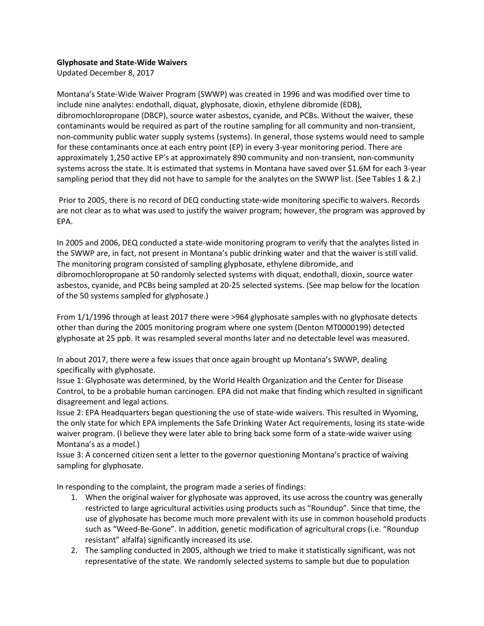## **Glyphosate and State-Wide Waivers**

Updated December 8, 2017

Montana's State-Wide Waiver Program (SWWP) was created in 1996 and was modified over time to include nine analytes: endothall, diquat, glyphosate, dioxin, ethylene dibromide (EDB), dibromochloropropane (DBCP), source water asbestos, cyanide, and PCBs. Without the waiver, these contaminants would be required as part of the routine sampling for all community and non-transient, non-community public water supply systems (systems). In general, those systems would need to sample for these contaminants once at each entry point (EP) in every 3-year monitoring period. There are approximately 1,250 active EP's at approximately 890 community and non-transient, non-community systems across the state. It is estimated that systems in Montana have saved over \$1.6M for each 3-year sampling period that they did not have to sample for the analytes on the SWWP list. (See Tables 1 & 2.)

Prior to 2005, there is no record of DEQ conducting state-wide monitoring specific to waivers. Records are not clear as to what was used to justify the waiver program; however, the program was approved by EPA.

In 2005 and 2006, DEQ conducted a state-wide monitoring program to verify that the analytes listed in the SWWP are, in fact, not present in Montana's public drinking water and that the waiver is still valid. The monitoring program consisted of sampling glyphosate, ethylene dibromide, and dibromochloropropane at 50 randomly selected systems with diquat, endothall, dioxin, source water asbestos, cyanide, and PCBs being sampled at 20-25 selected systems. (See map below for the location of the 50 systems sampled for glyphosate.)

From 1/1/1996 through at least 2017 there were >964 glyphosate samples with no glyphosate detects other than during the 2005 monitoring program where one system (Denton MT0000199) detected glyphosate at 25 ppb. It was resampled several months later and no detectable level was measured.

In about 2017, there were a few issues that once again brought up Montana's SWWP, dealing specifically with glyphosate.

Issue 1: Glyphosate was determined, by the World Health Organization and the Center for Disease Control, to be a probable human carcinogen. EPA did not make that finding which resulted in significant disagreement and legal actions.

Issue 2: EPA Headquarters began questioning the use of state-wide waivers. This resulted in Wyoming, the only state for which EPA implements the Safe Drinking Water Act requirements, losing its state-wide waiver program. (I believe they were later able to bring back some form of a state-wide waiver using Montana's as a model.)

Issue 3: A concerned citizen sent a letter to the governor questioning Montana's practice of waiving sampling for glyphosate.

In responding to the complaint, the program made a series of findings:

- 1. When the original waiver for glyphosate was approved, its use across the country was generally restricted to large agricultural activities using products such as "Roundup". Since that time, the use of glyphosate has become much more prevalent with its use in common household products such as "Weed-Be-Gone". In addition, genetic modification of agricultural crops (i.e. "Roundup resistant" alfalfa) significantly increased its use.
- 2. The sampling conducted in 2005, although we tried to make it statistically significant, was not representative of the state. We randomly selected systems to sample but due to population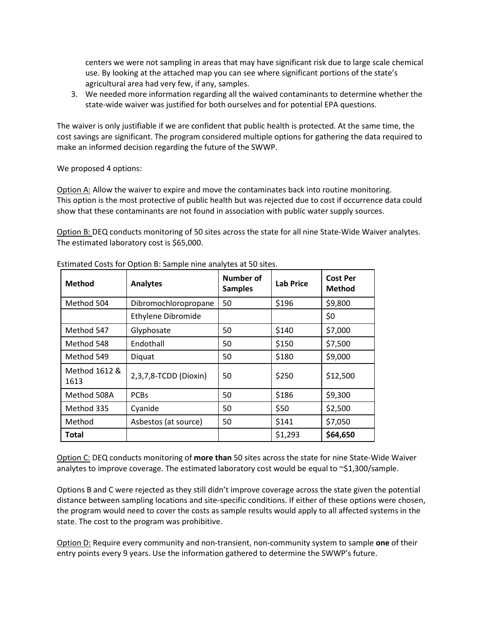centers we were not sampling in areas that may have significant risk due to large scale chemical use. By looking at the attached map you can see where significant portions of the state's agricultural area had very few, if any, samples.

3. We needed more information regarding all the waived contaminants to determine whether the state-wide waiver was justified for both ourselves and for potential EPA questions.

The waiver is only justifiable if we are confident that public health is protected. At the same time, the cost savings are significant. The program considered multiple options for gathering the data required to make an informed decision regarding the future of the SWWP.

We proposed 4 options:

Option A: Allow the waiver to expire and move the contaminates back into routine monitoring. This option is the most protective of public health but was rejected due to cost if occurrence data could show that these contaminants are not found in association with public water supply sources.

Option B: DEQ conducts monitoring of 50 sites across the state for all nine State-Wide Waiver analytes. The estimated laboratory cost is \$65,000.

| <b>Method</b>         | <b>Analytes</b>       | <b>Number of</b><br><b>Samples</b> | <b>Lab Price</b> | <b>Cost Per</b><br><b>Method</b> |
|-----------------------|-----------------------|------------------------------------|------------------|----------------------------------|
| Method 504            | Dibromochloropropane  | 50                                 | \$196            | \$9,800                          |
|                       | Ethylene Dibromide    |                                    |                  | \$0                              |
| Method 547            | Glyphosate            | 50                                 | \$140            | \$7,000                          |
| Method 548            | Endothall             | 50                                 | \$150            | \$7,500                          |
| Method 549            | Diquat                | 50                                 | \$180            | \$9,000                          |
| Method 1612 &<br>1613 | 2,3,7,8-TCDD (Dioxin) | 50                                 | \$250            | \$12,500                         |
| Method 508A           | <b>PCBs</b>           | 50                                 | \$186            | \$9,300                          |
| Method 335            | Cyanide               | 50                                 | \$50             | \$2,500                          |
| Method                | Asbestos (at source)  | 50                                 | \$141            | \$7,050                          |
| Total                 |                       |                                    | \$1,293          | \$64,650                         |

Estimated Costs for Option B: Sample nine analytes at 50 sites.

Option C: DEQ conducts monitoring of **more than** 50 sites across the state for nine State-Wide Waiver analytes to improve coverage. The estimated laboratory cost would be equal to  $\sim$ \$1,300/sample.

Options B and C were rejected as they still didn't improve coverage across the state given the potential distance between sampling locations and site-specific conditions. If either of these options were chosen, the program would need to cover the costs as sample results would apply to all affected systems in the state. The cost to the program was prohibitive.

Option D: Require every community and non-transient, non-community system to sample **one** of their entry points every 9 years. Use the information gathered to determine the SWWP's future.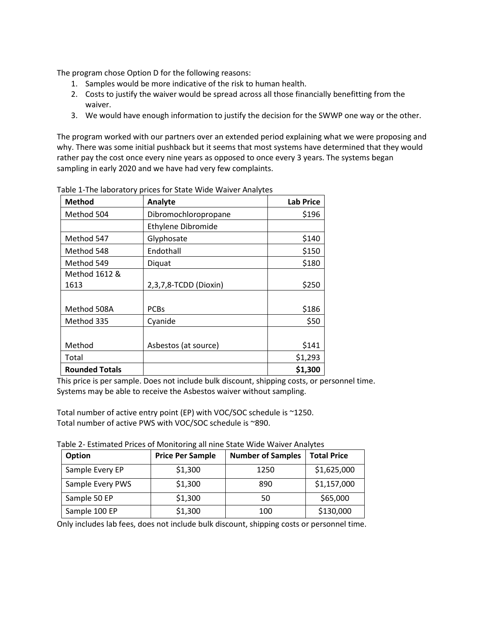The program chose Option D for the following reasons:

- 1. Samples would be more indicative of the risk to human health.
- 2. Costs to justify the waiver would be spread across all those financially benefitting from the waiver.
- 3. We would have enough information to justify the decision for the SWWP one way or the other.

The program worked with our partners over an extended period explaining what we were proposing and why. There was some initial pushback but it seems that most systems have determined that they would rather pay the cost once every nine years as opposed to once every 3 years. The systems began sampling in early 2020 and we have had very few complaints.

| <b>Method</b>         | Analyte                   | <b>Lab Price</b> |
|-----------------------|---------------------------|------------------|
| Method 504            | Dibromochloropropane      | \$196            |
|                       | <b>Ethylene Dibromide</b> |                  |
| Method 547            | Glyphosate                | \$140            |
| Method 548            | Endothall                 | \$150            |
| Method 549            | Diquat                    | \$180            |
| Method 1612 &         |                           |                  |
| 1613                  | 2,3,7,8-TCDD (Dioxin)     | \$250            |
|                       |                           |                  |
| Method 508A           | <b>PCBs</b>               | \$186            |
| Method 335            | Cyanide                   | \$50             |
|                       |                           |                  |
| Method                | Asbestos (at source)      | \$141            |
| Total                 |                           | \$1,293          |
| <b>Rounded Totals</b> |                           | \$1,300          |

Table 1-The laboratory prices for State Wide Waiver Analytes

This price is per sample. Does not include bulk discount, shipping costs, or personnel time. Systems may be able to receive the Asbestos waiver without sampling.

Total number of active entry point (EP) with VOC/SOC schedule is ~1250. Total number of active PWS with VOC/SOC schedule is ~890.

Table 2- Estimated Prices of Monitoring all nine State Wide Waiver Analytes

| <b>Option</b>    | <b>Price Per Sample</b> | <b>Number of Samples</b> | <b>Total Price</b> |
|------------------|-------------------------|--------------------------|--------------------|
| Sample Every EP  | \$1,300                 | 1250                     | \$1,625,000        |
| Sample Every PWS | \$1,300                 | 890                      | \$1,157,000        |
| Sample 50 EP     | \$1,300                 | 50                       | \$65,000           |
| Sample 100 EP    | \$1,300                 | 100                      | \$130,000          |

Only includes lab fees, does not include bulk discount, shipping costs or personnel time.